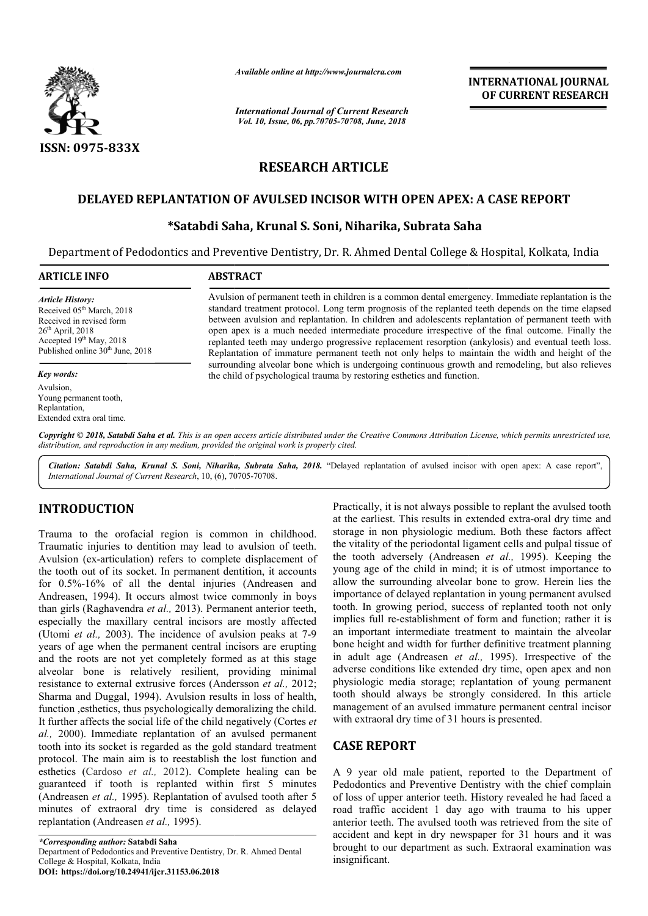

*Available online at http://www.journalcra.com*

*International Journal of Current Research Vol. 10, Issue, 06, pp.70705-70708, June, 2018*

**INTERNATIONAL JOURNAL OF CURRENT RESEARCH**

# **RESEARCH ARTICLE**

# **DELAYED REPLANTATION OF AVULSED INCISOR WITH OPEN APEX: A CASE REPORT REPLANTATION OF Satabdi**

# **\*Satabdi Saha, Krunal S. Soni, Niharika, Subrata Saha Satabdi**

Department of Pedodontics and Preventive Dentistry, Dr. R. Ahmed Dental College & Hospital, Kolkata, India

#### **ARTICLE INFO ABSTRACT**

*Article History:* Received 05<sup>th</sup> March, 2018 Received in revised form  $26<sup>th</sup>$  April,  $2018$  $\frac{20 \text{ H}}{19^{th}}$  May, 2018 Published online 30<sup>th</sup> June, 2018

#### *Key words:*

Avulsion, Young permanent tooth, Replantation, Extended extra oral time.

Avulsion of permanent teeth in children is a common dental emergency. Immediate replantation is the standard treatment protocol. Long term prognosis of the replanted teeth depends on the time elapsed between avulsion and replantation. In children and adolescents replantation of permanent teeth with open apex is a much needed intermediate procedure irrespective of the final outcome. Finally the replanted teeth may undergo progressive replacement resorption (ankylosis) and eventual teeth loss. Replantation of immature permanent teeth not only helps to maintain the width and height of the surrounding alveolar bone which is undergoing continuous growth and remodeling, but also relieves the child of psychological trauma by restoring esthetics and function. standard treatment protocol. Long term prognosis of the replanted teeth depends on the time elapsed<br>between avulsion and replantation. In children and adolescents replantation of permanent teeth with<br>open apex is a much ne

Copyright © 2018, Satabdi Saha et al. This is an open access article distributed under the Creative Commons Attribution License, which permits unrestricted use, *distribution, and reproduction in any medium, provided the original work is properly cited.*

Citation: Satabdi Saha, Krunal S. Soni, Niharika, Subrata Saha, 2018. "Delayed replantation of avulsed incisor with open apex: A case report", *International Journal of Current Research*, 10, (6), 70705 70705-70708.

# **INTRODUCTION**

Trauma to the orofacial region is common in childhood. Traumatic injuries to dentition may lead to avulsion of teeth. Avulsion (ex-articulation) refers to complete displacement of Avulsion (ex-articulation) refers to complete displacement of the tooth out of its socket. In permanent dentition, it accounts for 0.5%-16% of all the dental injuries (Andreasen and Andreasen, 1994). It occurs almost twice commonly in boys than girls (Raghavendra *et al.,* 2013). Permanent anterior teeth, especially the maxillary central incisors are mostly affected (Utomi *et al.*, 2003). The incidence of avulsion peaks at 7-9 years of age when the permanent central incisors are erupting and the roots are not yet completely formed as at this stage alveolar bone is relatively resilient, providing minimal resistance to external extrusive forces (Andersson *et al.,* 2012; Sharma and Duggal, 1994). Avulsion results in loss of health, function ,esthetics, thus psychologically demoralizing the child. It further affects the social life of the child negatively (Cortes *et al.,* 2000). Immediate replantation of an avulsed permanent tooth into its socket is regarded as the gold standard treatment protocol. The main aim is to reestablish the lost function and esthetics (Cardoso *et al.,* 2012). Complete healing can be guaranteed if tooth is replanted within first 5 minutes (Andreasen *et al.,* 1995). Replantation of avulsed tooth after 5 minutes of extraoral dry time is considered as delayed replantation (Andreasen *et al.,* 1995).

Practically, it is not always possible to replant the avulsed tooth Practically, it is not always possible to replant the avulsed tooth<br>at the earliest. This results in extended extra-oral dry time and storage in non physiologic medium. Both these factors affect the vitality of the periodontal ligament cells and pulpal tissue of the vitality of the periodontal ligament cells and pulpal tissue of the tooth adversely (Andreasen *et al.*, 1995). Keeping the young age of the child in mind; it is of utmost importance to young age of the child in mind; it is of utmost importance to allow the surrounding alveolar bone to grow. Herein lies the importance of delayed replantation in young permanent avulsed tooth. In growing period, success of replanted tooth not only implies full re-establishment of form and function; rather it is an important intermediate treatment to maintain the alveolar bone height and width for further definitive treatment planning bone height and width for further definitive treatment planning in adult age (Andreasen *et al.*, 1995). Irrespective of the adverse conditions like extended dry time, open apex and non adverse conditions like extended dry time, open apex and non physiologic media storage; replantation of young permanent tooth should always be strongly considered. In this article management of an avulsed immature permanent central incisor with extraoral dry time of 31 hours is presented. th. In growing period, success of replanted tooth not only blies full re-establishment of form and function; rather it is important intermediate treatment to maintain the alveolar **EXERIMATIONAL JOURNAL COURNAL COURNAL COURNAL COURNAL COURNAL COURNAL COURNAL COURNAL COURNAL COURNAL COURNAL COURNAL COURNAL COURNAL COURNAL COURNAL COURNAL COURNAL COURNAL COURNAL COURNAL COURNAL COURNAL COURNAL COURNA** 

# **CASE REPORT**

A 9 year old male patient, reported to the Department of Pedodontics and Preventive Dentistry with the chief complain of loss of upper anterior teeth. History revealed he had faced a road traffic accident 1 day ago with trauma to his upper anterior teeth. The avulsed tooth was retrieved from the site of accident and kept in dry newspaper for 31 hours and it was brought to our department as such. Extraoral examination was insignificant.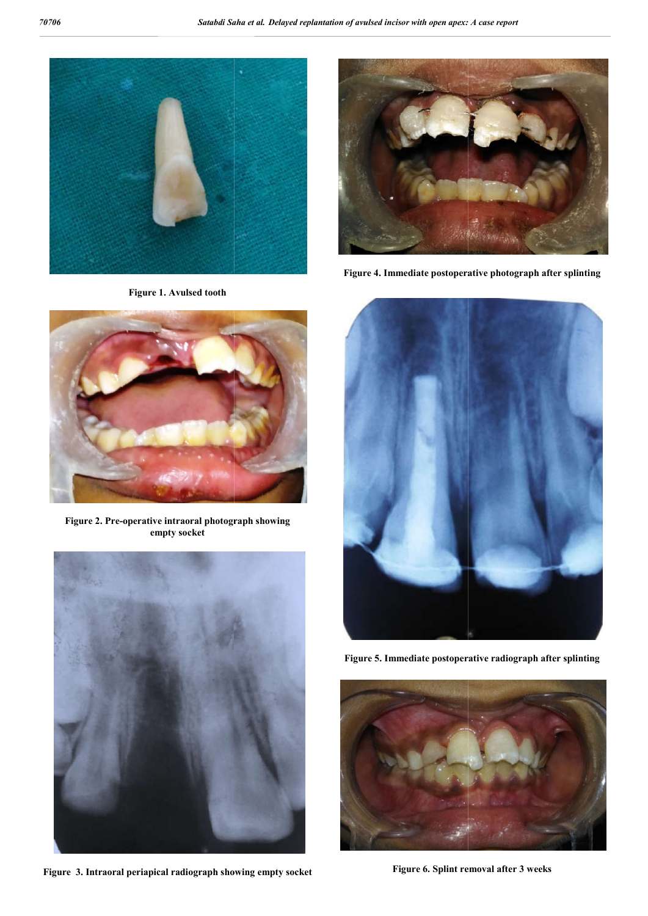

**Figure 1. Avulsed tooth**



**Figure 2. Pre-operative intraoral photograph showing empty socket**



**Figure 3. Intraoral periapical radiograph showing empty socket**





**Figure 5. Immediate postoperative radiograph after splinting**



**Figure 6. Splint removal after 3 weeks**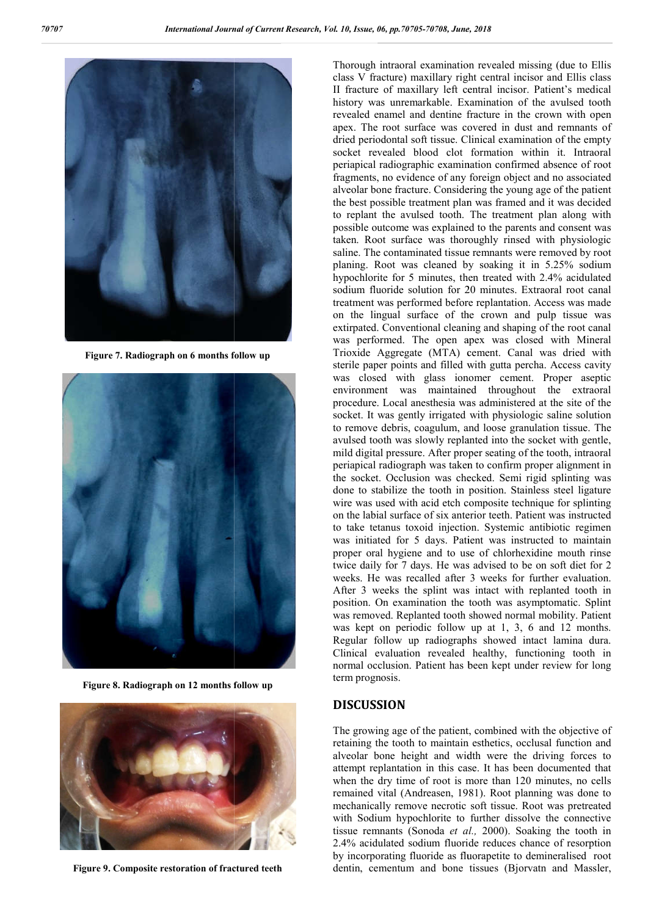

**Figure 7. Radiograph on 6 months follow up**



**Figure 8. Radiograph on 12 months follow up**



**Figure 9. Composite restoration of fractured teeth**

Thorough intraoral examination revealed missing (due to Ellis class V fracture) maxillary right central incisor and Ellis class II fracture of maxillary left central incisor. Patient's medical history was unremarkable. Examination of the avulsed tooth revealed enamel and dentine fracture in the apex. The root surface was covered in dust and remnants of dried periodontal soft tissue. Clinical examination of the empty socket revealed blood clot formation within it. Intraoral periapical radiographic examination confirmed absence of r fragments, no evidence of any foreign object and no associated alveolar bone fracture. Considering the young age of the patient the best possible treatment plan was framed and it was decided to replant the avulsed tooth. The treatment plan along with possible outcome was explained to the parents and consent was taken. Root surface was thoroughly rinsed with physiologic saline. The contaminated tissue remnants were removed by root planing. Root was cleaned by soaking it in 5.25% sodium hypochlorite for 5 minutes, then treated with 2.4% acidulated sodium fluoride solution for 20 minutes. Extraoral root canal treatment was performed before replantation. Access was made on the lingual surface of the crown and pulp tissue was extirpated. Conventional cleaning and shaping of the root canal was performed. The open apex was closed with Mineral Trioxide Aggregate (MTA) cement. Canal was dried with sterile paper points and filled with gutta percha. Access cavity was closed with glass ionomer cement. Proper aseptic environment was maintained throughout the extraoral procedure. Local anesthesia was administered at the site of the socket. It was gently irrigated with physiologic saline solution to remove debris, coagulum, and loose granulation tissue. The avulsed tooth was slowly replanted into the socket with gentle, mild digital pressure. After proper seating of the tooth, intraoral periapical radiograph was taken to confirm proper alignment in the socket. Occlusion was checked. Semi rigid splinting was done to stabilize the tooth in position. Stainless steel ligature wire was used with acid etch composite technique for splinting on the labial surface of six anterior teeth. Patient was instructed to take tetanus toxoid injection. Systemic antibiotic regimen was initiated for 5 days. Patient was instructed to maintain proper oral hygiene and to use of chlorhexidine mouth rinse twice daily for 7 days. He was advised to be on soft diet for 2 weeks. He was recalled after 3 weeks for further evaluation. After 3 weeks the splint was intact with replanted tooth in position. On examination the tooth was asymptomatic. Splint was removed. Replanted tooth showed normal mobility. Patient was kept on periodic follow up at 1, 3, 6 and 12 months. Regular follow up radiographs showed intact lamina dura. Clinical evaluation revealed healthy, functioning tooth in normal occlusion. Patient has been kept under review for long term prognosis. ss V fracture) maxillary right central incisor and Ellis class<br>fracture of maxillary left central incisor. Patient's medical<br>tory was unremarkable. Examination of the avulsed tooth<br>realed enamel and dentine fracture in the The root surface was covered in dust and remnants of periodontal soft tissue. Clinical examination of the empty t revealed blood clot formation within it. Intraoral bical radiographic examination confirmed absence of root it also be pest possible treatment plan was framed and it was development the avulsed tooth. The treatment plan along ossible outcome was explained to the parents and consen aken. Root surface was thoroughly rinsed with ph was performed. The open apex was closed with Mineral<br>Trioxide Aggregate (MTA) cement. Canal was dried with<br>sterile paper points and filled with guata perchar. Access cavity<br>was closed with glaas ionomer cement. Proper asse

#### **DISCUSSION**

The growing age of the patient, combined with the objective of retaining the tooth to maintain esthetics, occlusal function and alveolar bone height and width were the driving forces to attempt replantation in this case. It has been documented that when the dry time of root is more than 120 minutes, no cells remained vital (Andreasen, 1981). Root planning was done to mechanically remove necrotic soft tissue. Root was pretreated mechanically remove necrotic soft tissue. Root was pretreated with Sodium hypochlorite to further dissolve the connective tissue remnants (Sonoda et al., 2000). Soaking the tooth in 2.4% acidulated sodium fluoride reduces chance of resorption 2.4% acidulated sodium fluoride reduces chance of resorption<br>by incorporating fluoride as fluorapetite to demineralised root dentin, cementum and bone tissues (Bjorvatn and Massler, normal occlusion. Patient has been kept under review for long<br>term prognosis.<br>**DISCUSSION**<br>The growing age of the patient, combined with the objective of<br>retaining the tooth to maintain esthetics, occlusal function and<br>alv